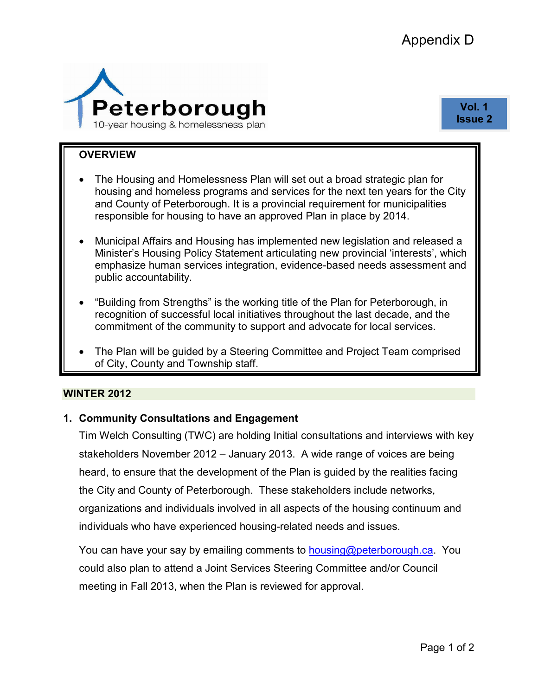

**Vol. 1 Issue 2** 

#### **OVERVIEW**

- The Housing and Homelessness Plan will set out a broad strategic plan for housing and homeless programs and services for the next ten years for the City and County of Peterborough. It is a provincial requirement for municipalities responsible for housing to have an approved Plan in place by 2014.
- Municipal Affairs and Housing has implemented new legislation and released a Minister's Housing Policy Statement articulating new provincial 'interests', which emphasize human services integration, evidence-based needs assessment and public accountability.
- "Building from Strengths" is the working title of the Plan for Peterborough, in recognition of successful local initiatives throughout the last decade, and the commitment of the community to support and advocate for local services.
- The Plan will be guided by a Steering Committee and Project Team comprised of City, County and Township staff.

#### **WINTER 2012**

### **1. Community Consultations and Engagement**

Tim Welch Consulting (TWC) are holding Initial consultations and interviews with key stakeholders November 2012 – January 2013. A wide range of voices are being heard, to ensure that the development of the Plan is guided by the realities facing the City and County of Peterborough. These stakeholders include networks, organizations and individuals involved in all aspects of the housing continuum and individuals who have experienced housing-related needs and issues.

You can have your say by emailing comments to **[housing@peterborough.ca](mailto:housing@peterborough.ca).** You could also plan to attend a Joint Services Steering Committee and/or Council meeting in Fall 2013, when the Plan is reviewed for approval.